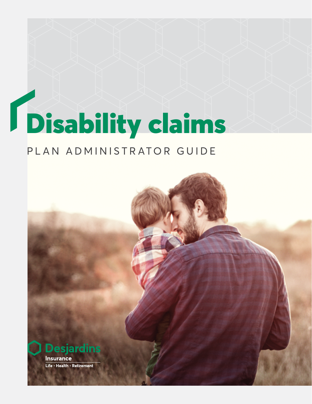# Disability claims

### PLAN ADMINISTRATOR GUIDE

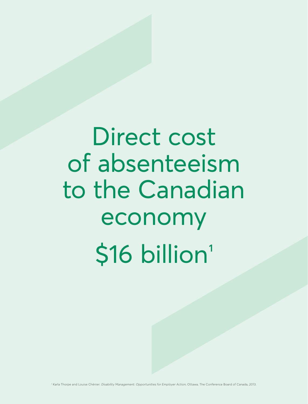# Direct cost of absenteeism to the Canadian economy \$16 billion<sup>1</sup>

<sup>1</sup> Karla Thorpe and Louise Chénier. Disability Management: Opportunities for Employer Action, Ottawa, The Conference Board of Canada, 2013.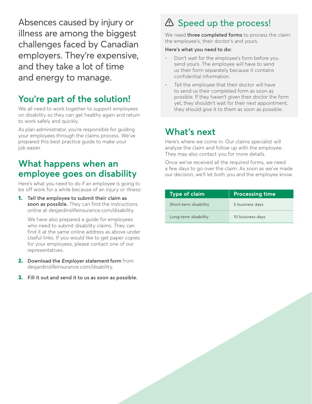Absences caused by injury or illness are among the biggest challenges faced by Canadian employers. They're expensive, and they take a lot of time and energy to manage.

#### **You're part of the solution!**

We all need to work together to support employees on disability so they can get healthy again and return to work safely and quickly.

As plan administrator, you're responsible for guiding your employees through the claims process. We've prepared this best practice guide to make your job easier.

#### **What happens when an employee goes on disability**

Here's what you need to do if an employee is going to be off work for a while because of an injury or illness:

1. **Tell the employee to submit their claim as soon as possible.** They can find the instructions online at [desjardinslifeinsurance.com/disability.](http://desjardinslifeinsurance.com/disability)

We have also prepared a guide for employees who need to submit disability claims. They can find it at the same online address as above under Useful links. If you would like to get paper copies for your employees, please contact one of our representatives.

- 2. **Download the Employer statement form** from [desjardinslifeinsurance.com/disability](http://desjardinslifeinsurance.com/disability).
- 3. **Fill it out and send it to us as soon as possible.**

## $\triangle$  Speed up the process!

We need **three completed forms** to process the claim: the employee's, their doctor's and yours.

#### **Here's what you need to do:**

- Don't wait for the employee's form before you send yours. The employee will have to send us their form separately because it contains confidential information.
- Tell the employee that their doctor will have to send us their completed form as soon as possible. If they haven't given their doctor the form yet, they shouldn't wait for their next appointment; they should give it to them as soon as possible.

#### **What's next**

Here's where we come in. Our claims specialist will analyze the claim and follow up with the employee. They may also contact you for more details.

Once we've received all the required forms, we need a few days to go over the claim. As soon as we've made our decision, we'll let both you and the employee know.

| <b>Type of claim</b>  | <b>Processing time</b> |
|-----------------------|------------------------|
| Short-term disability | 5 business days        |
| Long-term disability  | 10 business days       |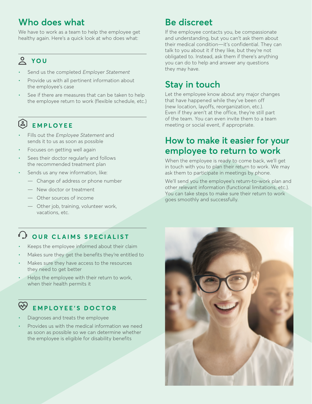#### **Who does what**

We have to work as a team to help the employee get healthy again. Here's a quick look at who does what:

#### **YOU**

- Send us the completed Employer Statement
- Provide us with all pertinent information about the employee's case
- See if there are measures that can be taken to help the employee return to work (flexible schedule, etc.)

# **EMPLOYEE**

- Fills out the Employee Statement and sends it to us as soon as possible
- Focuses on getting well again
- Sees their doctor regularly and follows the recommended treatment plan
- Sends us any new information, like:
	- Change of address or phone number
	- New doctor or treatment
	- Other sources of income
	- Other job, training, volunteer work, vacations, etc.

#### **COUR CLAIMS SPECIALIST**

- Keeps the employee informed about their claim
- Makes sure they get the benefits they're entitled to
- Makes sure they have access to the resources they need to get better
- Helps the employee with their return to work, when their health permits it

#### **EMPLOYEE'S DOCTOR**

- Diagnoses and treats the employee
- Provides us with the medical information we need as soon as possible so we can determine whether the employee is eligible for disability benefits

#### **Be discreet**

If the employee contacts you, be compassionate and understanding, but you can't ask them about their medical condition—it's confidential. They can talk to you about it if they like, but they're not obligated to. Instead, ask them if there's anything you can do to help and answer any questions they may have.

#### **Stay in touch**

Let the employee know about any major changes that have happened while they've been off (new location, layoffs, reorganization, etc.). Even if they aren't at the office, they're still part of the team. You can even invite them to a team meeting or social event, if appropriate.

#### **How to make it easier for your employee to return to work**

When the employee is ready to come back, we'll get in touch with you to plan their return to work. We may ask them to participate in meetings by phone.

We'll send you the employee's return-to-work plan and other relevant information (functional limitations, etc.). You can take steps to make sure their return to work goes smoothly and successfully.

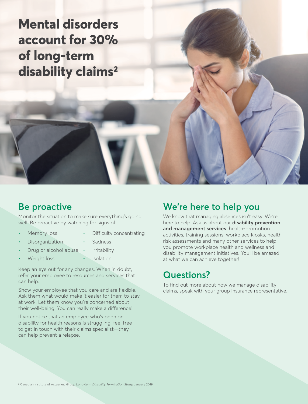**Mental disorders account for 30% of long‑term disability claims2**

#### **Be proactive**

Monitor the situation to make sure everything's going well. Be proactive by watching for signs of:

- Memory loss
- Difficulty concentrating

**Sadness** 

- **Disorganization**
- Drug or alcohol abuse **Irritability**
- Weight loss **Isolation**

Keep an eye out for any changes. When in doubt, refer your employee to resources and services that can help.

Show your employee that you care and are flexible. Ask them what would make it easier for them to stay at work. Let them know you're concerned about their well-being. You can really make a difference!

If you notice that an employee who's been on disability for health reasons is struggling, feel free to get in touch with their claims specialist—they can help prevent a relapse.

#### **We're here to help you**

We know that managing absences isn't easy. We're here to help. Ask us about our **disability prevention and management services**: health-promotion activities, training sessions, workplace kiosks, health risk assessments and many other services to help you promote workplace health and wellness and disability management initiatives. You'll be amazed at what we can achieve together!

#### **Questions?**

To find out more about how we manage disability claims, speak with your group insurance representative.